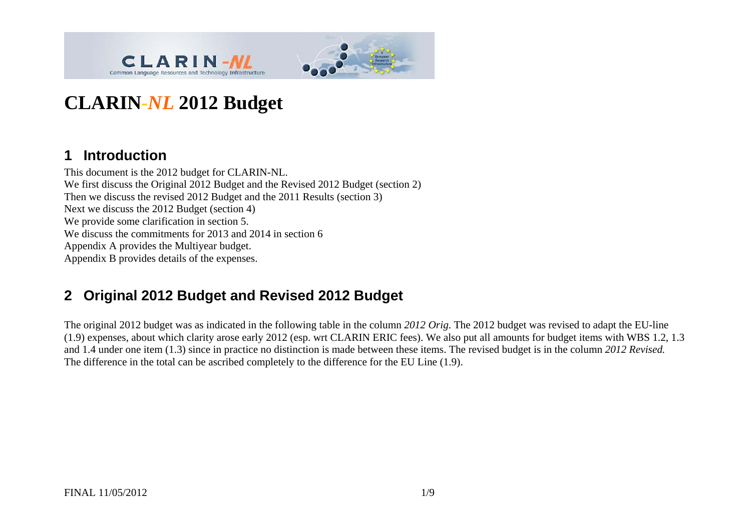



# **CLARIN** *-NL* **2012 Budget**

#### **1 Introduction**

This document is the 2012 budget for CLARIN-NL. We first discuss the Original 2012 Budget and the Revised 2012 Budget (section 2) Then we discuss the revised 2012 Budget and the 2011 Results (section 3) Next we discuss the 2012 Budget (section 4) We provide some clarification in section 5. We discuss the commitments for 2013 and 2014 in section 6 Appendix A provides the Multiyear budget. Appendix B provides details of the expenses.

## **2 Original 2012 Budget and Revised 2012 Budget**

The original 2012 budget was as indicated in the following table in the column *2012 Orig*. The 2012 budget was revised to adapt the EU-line (1.9) expenses, about which clarity arose early 2012 (esp. wrt CLARIN ERIC fees). We also put all amounts for budget items with WBS 1.2, 1.3 and 1.4 under one item (1.3) since in practice no distinction is made between these items. The revised budget is in the column *2012 Revised.* The difference in the total can be ascribed completely to the difference for the EU Line (1.9).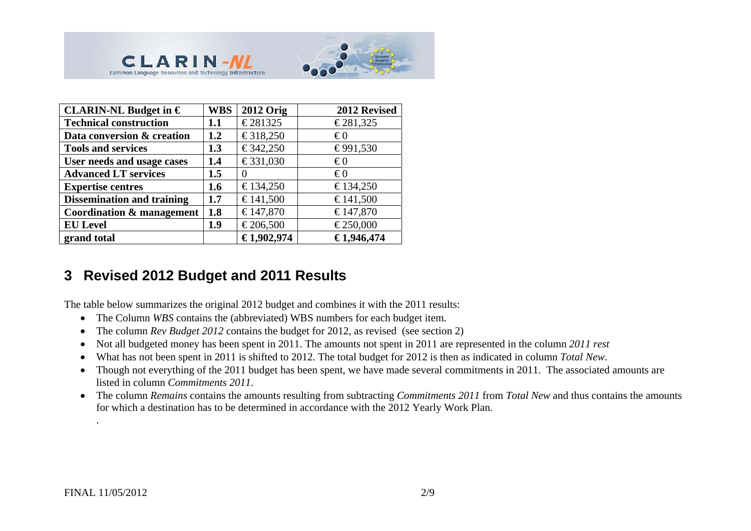



| CLARIN-NL Budget in $\epsilon$       | <b>WBS</b> | <b>2012 Orig</b> | 2012 Revised |
|--------------------------------------|------------|------------------|--------------|
| <b>Technical construction</b>        | 1.1        | €281325          | €281,325     |
| Data conversion & creation           | 1.2        | €318,250         | €0           |
| <b>Tools and services</b>            | 1.3        | €342,250         | €991,530     |
| User needs and usage cases           | 1.4        | €331,030         | $\epsilon$ 0 |
| <b>Advanced LT services</b>          | 1.5        | $\theta$         | $\epsilon$ 0 |
| <b>Expertise centres</b>             | 1.6        | €134,250         | €134,250     |
| <b>Dissemination and training</b>    | 1.7        | €141,500         | €141,500     |
| <b>Coordination &amp; management</b> | 1.8        | €147,870         | €147,870     |
| <b>EU</b> Level                      | 1.9        | €206,500         | €250,000     |
| grand total                          |            | €1,902,974       | €1,946,474   |

#### **3 Revised 2012 Budget and 2011 Results**

The table below summarizes the original 2012 budget and combines it with the 2011 results:

- The Column *WBS* contains the (abbreviated) WBS numbers for each budget item.
- $\bullet$ The column *Rev Budget 2012* contains the budget for 2012, as revised (see section 2)
- $\bullet$ Not all budgeted money has been spent in 2011. The amounts not spent in 2011 are represented in the column *2011 rest*
- $\bullet$ What has not been spent in 2011 is shifted to 2012. The total budget for 2012 is then as indicated in column *Total New*.
- $\bullet$  Though not everything of the 2011 budget has been spent, we have made several commitments in 2011. The associated amounts are listed in column *Commitments 2011*.
- The column *Remains* contains the amounts resulting from subtracting *Commitments 2011* from *Total New* and thus contains the amounts for which a destination has to be determined in accordance with the 2012 Yearly Work Plan.

.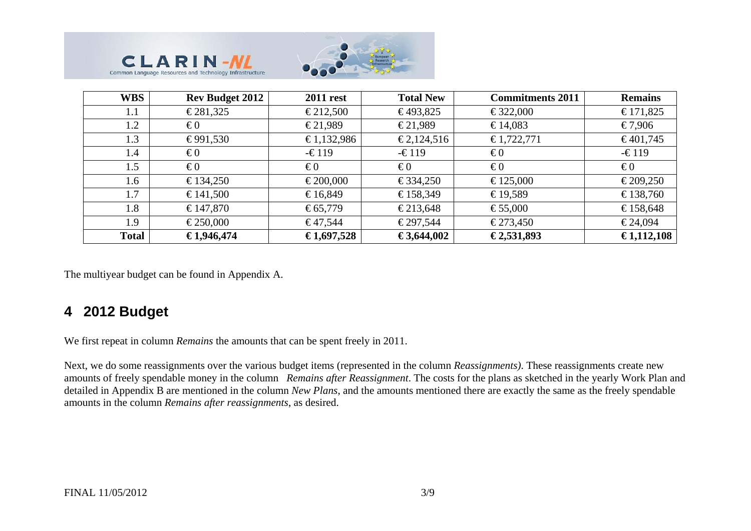



| <b>WBS</b>   | <b>Rev Budget 2012</b> | <b>2011 rest</b> | <b>Total New</b> | <b>Commitments 2011</b> | <b>Remains</b>  |
|--------------|------------------------|------------------|------------------|-------------------------|-----------------|
| 1.1          | €281,325               | €212,500         | €493,825         | €322,000                | €171,825        |
| 1.2          | $\epsilon$ 0           | €21,989          | €21,989          | €14,083                 | €7,906          |
| 1.3          | €991,530               | €1,132,986       | €2,124,516       | €1,722,771              | €401,745        |
| 1.4          | $\epsilon$ 0           | $-\epsilon$ 119  | $-\epsilon$ 119  | $\epsilon$ 0            | $-\epsilon$ 119 |
| 1.5          | $\epsilon$ 0           | $\epsilon$ 0     | $\epsilon_0$     | $\epsilon$ 0            | $\epsilon$ 0    |
| 1.6          | €134,250               | €200,000         | €334,250         | €125,000                | €209,250        |
| 1.7          | €141,500               | €16,849          | €158,349         | €19,589                 | €138,760        |
| 1.8          | €147,870               | € $65,779$       | €213,648         | €55,000                 | €158,648        |
| 1.9          | €250,000               | €47,544          | €297,544         | €273,450                | €24,094         |
| <b>Total</b> | €1,946,474             | €1,697,528       | €3,644,002       | €2,531,893              | €1,112,108      |

The multiyear budget can be found in Appendix A.

### **4 2012 Budget**

We first repeat in column *Remains* the amounts that can be spent freely in 2011.

Next, we do some reassignments over the various budget items (represented in the column *Reassignments)*. These reassignments create new amounts of freely spendable money in the column *Remains after Reassignment*. The costs for the plans as sketched in the yearly Work Plan and detailed in Appendix B are mentioned in the column *New Plans*, and the amounts mentioned there are exactly the same as the freely spendable amounts in the column *Remains after reassignments*, as desired.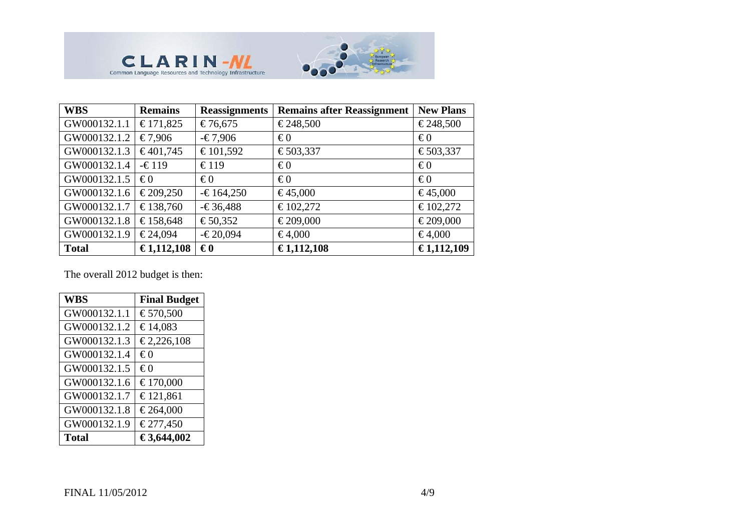

| <b>WBS</b>   | <b>Remains</b> | <b>Reassignments</b> | <b>Remains after Reassignment</b> | <b>New Plans</b> |
|--------------|----------------|----------------------|-----------------------------------|------------------|
| GW000132.1.1 | €171,825       | €76,675              | €248,500                          | €248,500         |
| GW000132.1.2 | €7,906         | $-€7,906$            | $\epsilon$ 0                      | $\epsilon$ 0     |
| GW000132.1.3 | €401,745       | €101,592             | €503,337                          | €503,337         |
| GW000132.1.4 | $-£119$        | €119                 | $\epsilon$ 0                      | $\epsilon$ 0     |
| GW000132.1.5 | $\epsilon$ 0   | $\epsilon$ 0         | $\epsilon$ 0                      | $\epsilon$ 0     |
| GW000132.1.6 | €209,250       | $-€164,250$          | €45,000                           | €45,000          |
| GW000132.1.7 | €138,760       | $-636,488$           | €102,272                          | €102,272         |
| GW000132.1.8 | €158,648       | €50,352              | €209,000                          | €209,000         |
| GW000132.1.9 | €24,094        | $-620,094$           | €4,000                            | €4,000           |
| <b>Total</b> | €1,112,108     | $\epsilon_0$         | €1,112,108                        | €1,112,109       |

The overall 2012 budget is then:

**CLARIM-MAN** 

| <b>WBS</b>   | <b>Final Budget</b> |
|--------------|---------------------|
| GW000132.1.1 | €570,500            |
| GW000132.1.2 | €14,083             |
| GW000132.1.3 | €2,226,108          |
| GW000132.1.4 | $\epsilon$ 0        |
| GW000132.1.5 | €0                  |
| GW000132.1.6 | €170,000            |
| GW000132.1.7 | €121,861            |
| GW000132.1.8 | €264,000            |
| GW000132.1.9 | €277,450            |
| <b>Total</b> | €3,644,002          |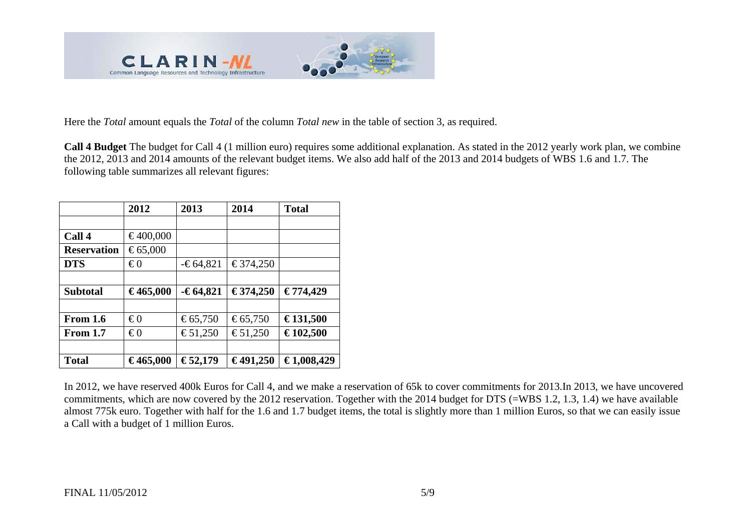

Here the *Total* amount equals the *Total* of the column *Total new* in the table of section 3, as required.

**Call 4 Budget** The budget for Call 4 (1 million euro) requires some additional explanation. As stated in the 2012 yearly work plan, we combine the 2012, 2013 and 2014 amounts of the relevant budget items. We also add half of the 2013 and 2014 budgets of WBS 1.6 and 1.7. The following table summarizes all relevant figures:

|                    | 2012         | 2013       | 2014     | <b>Total</b> |
|--------------------|--------------|------------|----------|--------------|
|                    |              |            |          |              |
| Call 4             | €400,000     |            |          |              |
| <b>Reservation</b> | €65,000      |            |          |              |
| <b>DTS</b>         | $\epsilon$ 0 | $-64,821$  | €374,250 |              |
|                    |              |            |          |              |
| <b>Subtotal</b>    | €465,000     | $-64,821$  | €374,250 | €774,429     |
|                    |              |            |          |              |
| From 1.6           | $\epsilon$ 0 | € $65,750$ | €65,750  | €131,500     |
| <b>From 1.7</b>    | $\epsilon$ 0 | €51,250    | €51,250  | €102,500     |
|                    |              |            |          |              |
| <b>Total</b>       | €465,000     | €52,179    | €491,250 | €1,008,429   |

In 2012, we have reserved 400k Euros for Call 4, and we make a reservation of 65k to cover commitments for 2013.In 2013, we have uncovered commitments, which are now covered by the 2012 reservation. Together with the 2014 budget for DTS (=WBS 1.2, 1.3, 1.4) we have available almost 775k euro. Together with half for the 1.6 and 1.7 budget items, the total is slightly more than 1 million Euros, so that we can easily issue a Call with a budget of 1 million Euros.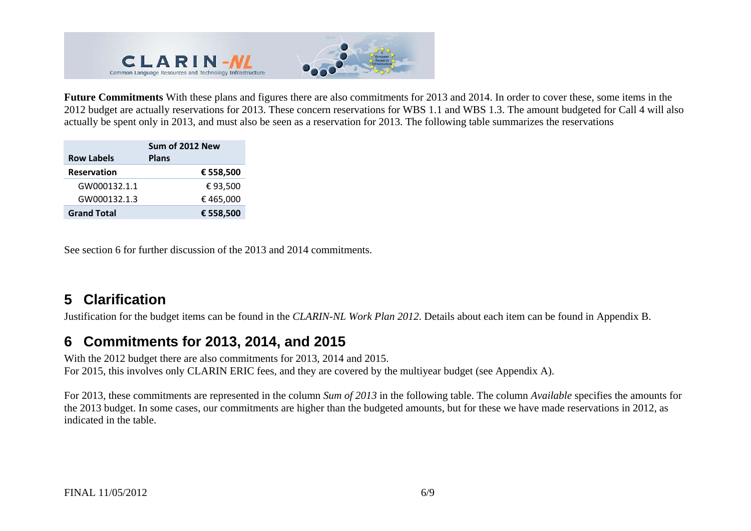

**Future Commitments** With these plans and figures there are also commitments for 2013 and 2014. In order to cover these, some items in the 2012 budget are actually reservations for 2013. These concern reservations for WBS 1.1 and WBS 1.3. The amount budgeted for Call 4 will also actually be spent only in 2013, and must also be seen as a reservation for 2013. The following table summarizes the reservations

| <b>Row Labels</b>  | Sum of 2012 New<br><b>Plans</b> |
|--------------------|---------------------------------|
| <b>Reservation</b> | € 558,500                       |
| GW000132.1.1       | €93,500                         |
| GW000132.1.3       | €465,000                        |
| <b>Grand Total</b> | € 558,500                       |

See section 6 for further discussion of the 2013 and 2014 commitments.

#### **5 Clarification**

Justification for the budget items can be found in the *CLARIN-NL Work Plan 2012*. Details about each item can be found in Appendix B.

#### **6 Commitments for 2013, 2014, and 2015**

With the 2012 budget there are also commitments for 2013, 2014 and 2015. For 2015, this involves only CLARIN ERIC fees, and they are covered by the multiyear budget (see Appendix A).

For 2013, these commitments are represented in the column *Sum of 2013* in the following table. The column *Available* specifies the amounts for the 2013 budget. In some cases, our commitments are higher than the budgeted amounts, but for these we have made reservations in 2012, as indicated in the table.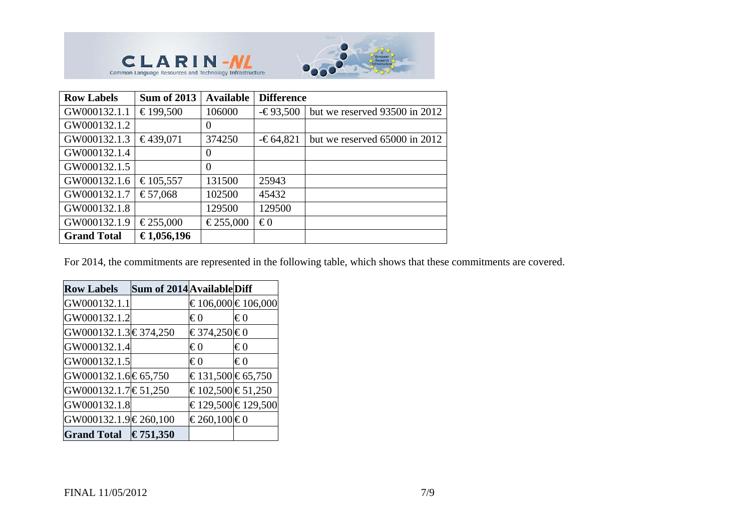



| <b>Row Labels</b>  | <b>Sum of 2013</b> | <b>Available</b> | <b>Difference</b> |                               |  |  |
|--------------------|--------------------|------------------|-------------------|-------------------------------|--|--|
| GW000132.1.1       | €199,500           | 106000           | $-693,500$        | but we reserved 93500 in 2012 |  |  |
| GW000132.1.2       |                    | $\overline{0}$   |                   |                               |  |  |
| GW000132.1.3       | €439,071           | 374250           | $-64,821$         | but we reserved 65000 in 2012 |  |  |
| GW000132.1.4       |                    | $\Omega$         |                   |                               |  |  |
| GW000132.1.5       |                    | $\Omega$         |                   |                               |  |  |
| GW000132.1.6       | €105,557           | 131500           | 25943             |                               |  |  |
| GW000132.1.7       | €57,068            | 102500           | 45432             |                               |  |  |
| GW000132.1.8       |                    | 129500           | 129500            |                               |  |  |
| GW000132.1.9       | €255,000           | €255,000         | $\epsilon$ 0      |                               |  |  |
| <b>Grand Total</b> | €1,056,196         |                  |                   |                               |  |  |

For 2014, the commitments are represented in the following table, which shows that these commitments are covered.

| <b>Row Labels</b>                   | Sum of 2014 Available Diff |                  |                   |
|-------------------------------------|----------------------------|------------------|-------------------|
| GW000132.1.1                        |                            |                  | €106,000 €106,000 |
| GW000132.1.2                        |                            | €0               | €0                |
| GW000132.1.3 $\text{ } \in$ 374,250 |                            | €374,250 €0      |                   |
| GW000132.1.4                        |                            | $\epsilon_0$     | $\epsilon_0$      |
| GW000132.1.5                        |                            | €0               | $\epsilon_0$      |
| GW000132.1.6 € 65,750               |                            | €131,500 €65,750 |                   |
| GW000132.1.7 € 51,250               |                            | €102,500 €51,250 |                   |
| GW000132.1.8                        |                            |                  | €129,500 €129,500 |
| GW000132.1.9 $\in$ 260,100          |                            | €260,100 €0      |                   |
| Grand Total $\in$ 751,350           |                            |                  |                   |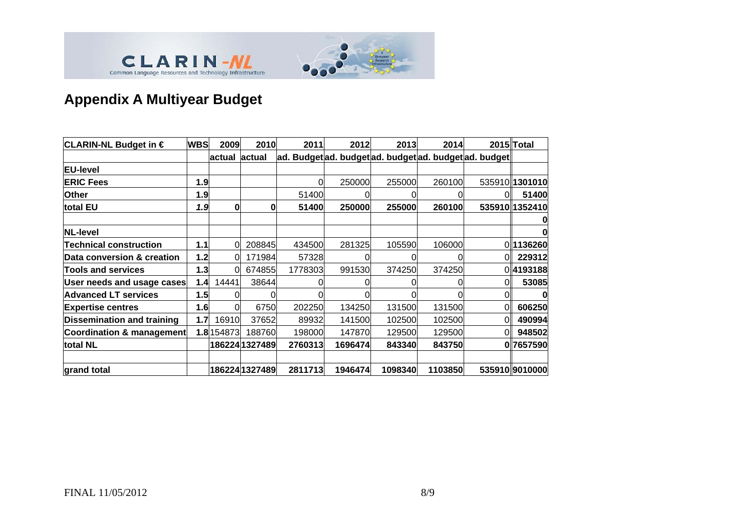



# **Appendix A Multiyear Budget**

| CLARIN-NL Budget in €                | <b>WBS</b> | 2009          | 2010           | 2011    | 2012                                               | 2013    | 2014    |     | 2015 Total     |
|--------------------------------------|------------|---------------|----------------|---------|----------------------------------------------------|---------|---------|-----|----------------|
|                                      |            | actual actual |                |         | ad. Budgetad. budgetad. budgetad. budgetad. budget |         |         |     |                |
| <b>EU-level</b>                      |            |               |                |         |                                                    |         |         |     |                |
| <b>ERIC Fees</b>                     | 1.9        |               |                | O       | 250000                                             | 255000  | 260100  |     | 535910 1301010 |
| <b>Other</b>                         | 1.9        |               |                | 51400   |                                                    | O       |         |     | 51400          |
| total EU                             | 1.9        | 0             | 0              | 51400   | 250000                                             | 255000  | 260100  |     | 535910 1352410 |
|                                      |            |               |                |         |                                                    |         |         |     | 0              |
| <b>NL-level</b>                      |            |               |                |         |                                                    |         |         |     | 0              |
| <b>Technical construction</b>        | 1.1        | 0             | 208845         | 434500  | 281325                                             | 105590  | 106000  |     | 0 1136260      |
| Data conversion & creation           | 1.2        | 0             | 171984         | 57328   |                                                    | ΩI      |         | 0   | 229312         |
| <b>Tools and services</b>            | 1.3        | 0             | 674855         | 1778303 | 991530                                             | 374250  | 374250  |     | 0 4193188      |
| User needs and usage cases           | 1.4        | 14441         | 38644          |         |                                                    |         |         | Οl  | 53085          |
| <b>Advanced LT services</b>          | 1.5        |               | 0              |         |                                                    | ΩI      |         | 01  | 0              |
| <b>Expertise centres</b>             | 1.6        | 0             | 6750           | 202250  | 134250                                             | 131500  | 131500  | Οl  | 606250         |
| <b>Dissemination and training</b>    | 1.7        | 16910         | 37652          | 89932   | 141500                                             | 102500  | 102500  | Οll | 490994         |
| <b>Coordination &amp; management</b> |            | 1.8 154873    | 188760         | 198000  | 147870                                             | 129500  | 129500  | ΩI  | 948502         |
| total NL                             |            |               | 186224 1327489 | 2760313 | 1696474                                            | 843340  | 843750  |     | 0 7657590      |
|                                      |            |               |                |         |                                                    |         |         |     |                |
| grand total                          |            |               | 186224 1327489 | 2811713 | 1946474                                            | 1098340 | 1103850 |     | 535910 9010000 |